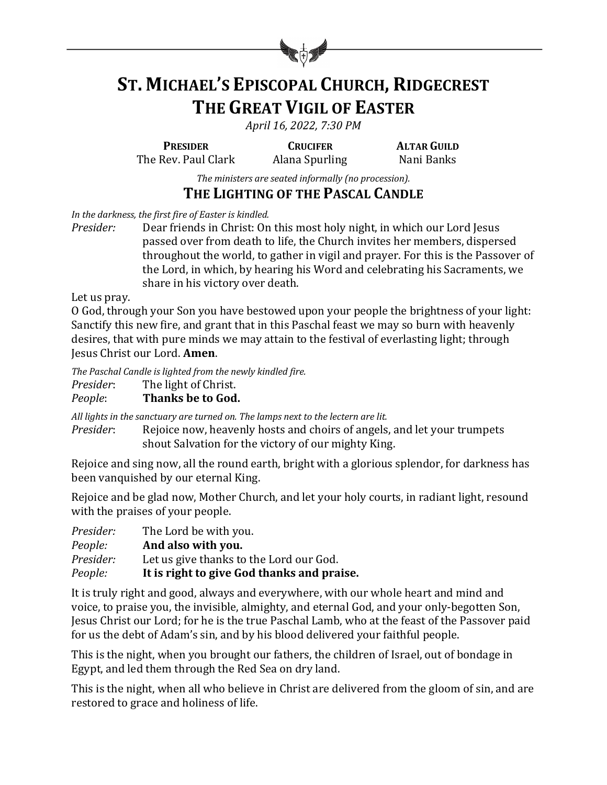

# **ST. MICHAEL'S EPISCOPAL CHURCH, RIDGECREST THE GREAT VIGIL OF EASTER**

*April 16, 2022, 7:30 PM* 

**PRESIDER CRUCIFER ALTAR GUILD** The Rev. Paul Clark Alana Spurling Nani Banks

The ministers are seated informally (no procession).

# **THE LIGHTING OF THE PASCAL CANDLE**

In the darkness, the first fire of Easter is kindled.

*Presider:* Dear friends in Christ: On this most holy night, in which our Lord Jesus passed over from death to life, the Church invites her members, dispersed throughout the world, to gather in vigil and prayer. For this is the Passover of the Lord, in which, by hearing his Word and celebrating his Sacraments, we share in his victory over death.

Let us pray.

O God, through your Son you have bestowed upon your people the brightness of your light: Sanctify this new fire, and grant that in this Paschal feast we may so burn with heavenly desires, that with pure minds we may attain to the festival of everlasting light; through Jesus Christ our Lord. **Amen**.

The Paschal Candle is lighted from the newly kindled fire.

*Presider:* The light of Christ.

*People*: **Thanks be to God.** 

All lights in the sanctuary are turned on. The lamps next to the lectern are lit.

*Presider*: Rejoice now, heavenly hosts and choirs of angels, and let your trumpets shout Salvation for the victory of our mighty King.

Rejoice and sing now, all the round earth, bright with a glorious splendor, for darkness has been vanquished by our eternal King.

Rejoice and be glad now, Mother Church, and let your holy courts, in radiant light, resound with the praises of your people.

| Presider: | The Lord be with you.                      |
|-----------|--------------------------------------------|
| People:   | And also with you.                         |
| Presider: | Let us give thanks to the Lord our God.    |
| People:   | It is right to give God thanks and praise. |

It is truly right and good, always and everywhere, with our whole heart and mind and voice, to praise you, the invisible, almighty, and eternal God, and your only-begotten Son, Jesus Christ our Lord; for he is the true Paschal Lamb, who at the feast of the Passover paid for us the debt of Adam's sin, and by his blood delivered your faithful people.

This is the night, when you brought our fathers, the children of Israel, out of bondage in Egypt, and led them through the Red Sea on dry land.

This is the night, when all who believe in Christ are delivered from the gloom of sin, and are restored to grace and holiness of life.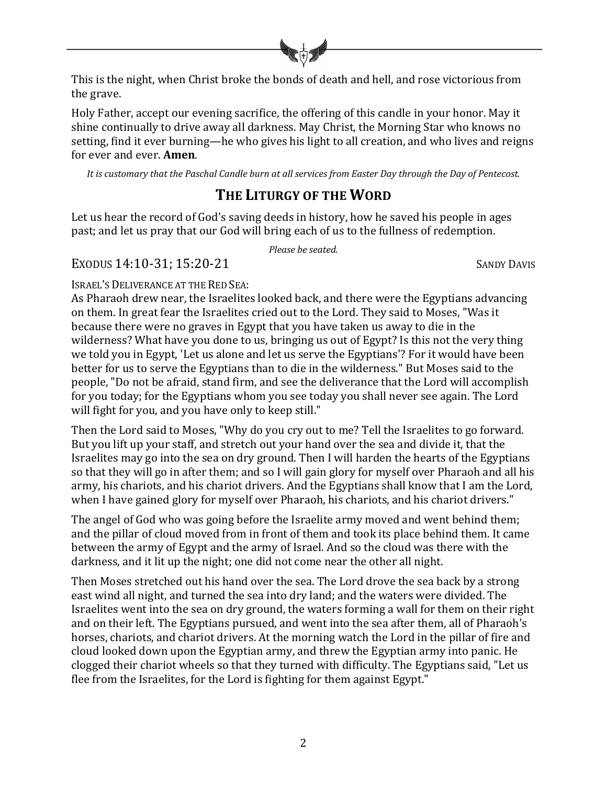

This is the night, when Christ broke the bonds of death and hell, and rose victorious from the grave.

Holy Father, accept our evening sacrifice, the offering of this candle in your honor. May it shine continually to drive away all darkness. May Christ, the Morning Star who knows no setting, find it ever burning—he who gives his light to all creation, and who lives and reigns for ever and ever. **Amen**.

It is customary that the Paschal Candle burn at all services from Easter Day through the Day of Pentecost.

# **THE LITURGY OF THE WORD**

Let us hear the record of God's saving deeds in history, how he saved his people in ages past; and let us pray that our God will bring each of us to the fullness of redemption.

*Please be seated.*

#### EXODUS 14:10-31: 15:20-21 SANDY DAVIS

ISRAEL'S DELIVERANCE AT THE RED SEA:

As Pharaoh drew near, the Israelites looked back, and there were the Egyptians advancing on them. In great fear the Israelites cried out to the Lord. They said to Moses, "Was it because there were no graves in Egypt that you have taken us away to die in the wilderness? What have you done to us, bringing us out of Egypt? Is this not the very thing we told you in Egypt, 'Let us alone and let us serve the Egyptians'? For it would have been better for us to serve the Egyptians than to die in the wilderness." But Moses said to the people, "Do not be afraid, stand firm, and see the deliverance that the Lord will accomplish for you today; for the Egyptians whom you see today you shall never see again. The Lord will fight for you, and you have only to keep still."

Then the Lord said to Moses, "Why do you cry out to me? Tell the Israelites to go forward. But you lift up your staff, and stretch out your hand over the sea and divide it, that the Israelites may go into the sea on dry ground. Then I will harden the hearts of the Egyptians so that they will go in after them; and so I will gain glory for myself over Pharaoh and all his army, his chariots, and his chariot drivers. And the Egyptians shall know that I am the Lord, when I have gained glory for myself over Pharaoh, his chariots, and his chariot drivers."

The angel of God who was going before the Israelite army moved and went behind them; and the pillar of cloud moved from in front of them and took its place behind them. It came between the army of Egypt and the army of Israel. And so the cloud was there with the darkness, and it lit up the night; one did not come near the other all night.

Then Moses stretched out his hand over the sea. The Lord drove the sea back by a strong east wind all night, and turned the sea into dry land; and the waters were divided. The Israelites went into the sea on dry ground, the waters forming a wall for them on their right and on their left. The Egyptians pursued, and went into the sea after them, all of Pharaoh's horses, chariots, and chariot drivers. At the morning watch the Lord in the pillar of fire and cloud looked down upon the Egyptian army, and threw the Egyptian army into panic. He clogged their chariot wheels so that they turned with difficulty. The Egyptians said, "Let us flee from the Israelites, for the Lord is fighting for them against Egypt."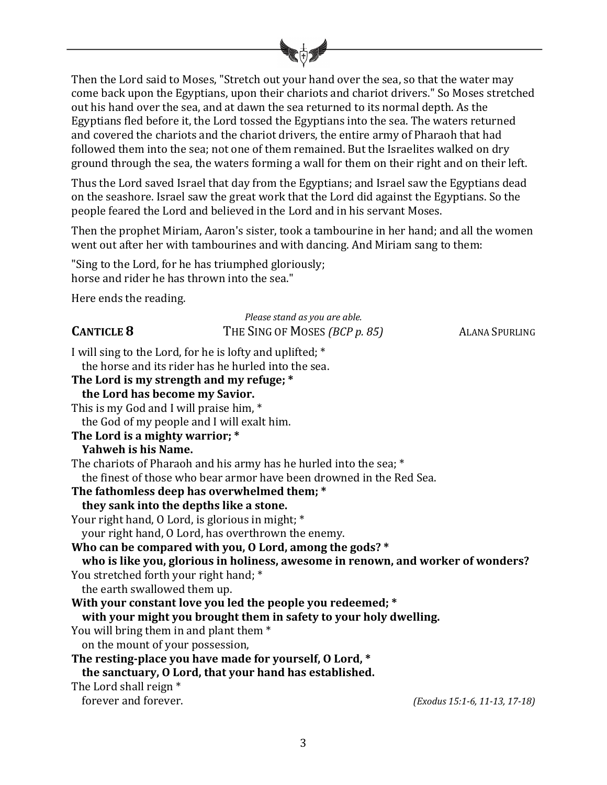

Then the Lord said to Moses, "Stretch out your hand over the sea, so that the water may come back upon the Egyptians, upon their chariots and chariot drivers." So Moses stretched out his hand over the sea, and at dawn the sea returned to its normal depth. As the Egyptians fled before it, the Lord tossed the Egyptians into the sea. The waters returned and covered the chariots and the chariot drivers, the entire army of Pharaoh that had followed them into the sea; not one of them remained. But the Israelites walked on dry ground through the sea, the waters forming a wall for them on their right and on their left.

Thus the Lord saved Israel that day from the Egyptians; and Israel saw the Egyptians dead on the seashore. Israel saw the great work that the Lord did against the Egyptians. So the people feared the Lord and believed in the Lord and in his servant Moses.

Then the prophet Miriam, Aaron's sister, took a tambourine in her hand; and all the women went out after her with tambourines and with dancing. And Miriam sang to them:

"Sing to the Lord, for he has triumphed gloriously; horse and rider he has thrown into the sea."

Here ends the reading.

| <b>CANTICLE 8</b>                                | Please stand as you are able.                                                    |                               |
|--------------------------------------------------|----------------------------------------------------------------------------------|-------------------------------|
|                                                  | THE SING OF MOSES (BCP p. 85)                                                    | <b>ALANA SPURLING</b>         |
|                                                  | I will sing to the Lord, for he is lofty and uplifted; *                         |                               |
|                                                  | the horse and its rider has he hurled into the sea.                              |                               |
| The Lord is my strength and my refuge; *         |                                                                                  |                               |
| the Lord has become my Savior.                   |                                                                                  |                               |
| This is my God and I will praise him, *          |                                                                                  |                               |
| the God of my people and I will exalt him.       |                                                                                  |                               |
| The Lord is a mighty warrior; *                  |                                                                                  |                               |
| Yahweh is his Name.                              |                                                                                  |                               |
|                                                  | The chariots of Pharaoh and his army has he hurled into the sea; *               |                               |
|                                                  | the finest of those who bear armor have been drowned in the Red Sea.             |                               |
|                                                  | The fathomless deep has overwhelmed them; *                                      |                               |
| they sank into the depths like a stone.          |                                                                                  |                               |
| Your right hand, O Lord, is glorious in might; * |                                                                                  |                               |
|                                                  | your right hand, O Lord, has overthrown the enemy.                               |                               |
|                                                  | Who can be compared with you, O Lord, among the gods? *                          |                               |
|                                                  | who is like you, glorious in holiness, awesome in renown, and worker of wonders? |                               |
| You stretched forth your right hand; *           |                                                                                  |                               |
| the earth swallowed them up.                     |                                                                                  |                               |
|                                                  | With your constant love you led the people you redeemed; *                       |                               |
|                                                  | with your might you brought them in safety to your holy dwelling.                |                               |
| You will bring them in and plant them *          |                                                                                  |                               |
| on the mount of your possession,                 |                                                                                  |                               |
|                                                  | The resting-place you have made for yourself, 0 Lord, *                          |                               |
|                                                  | the sanctuary, O Lord, that your hand has established.                           |                               |
| The Lord shall reign *                           |                                                                                  |                               |
| forever and forever.                             |                                                                                  | (Exodus 15:1-6, 11-13, 17-18) |
|                                                  |                                                                                  |                               |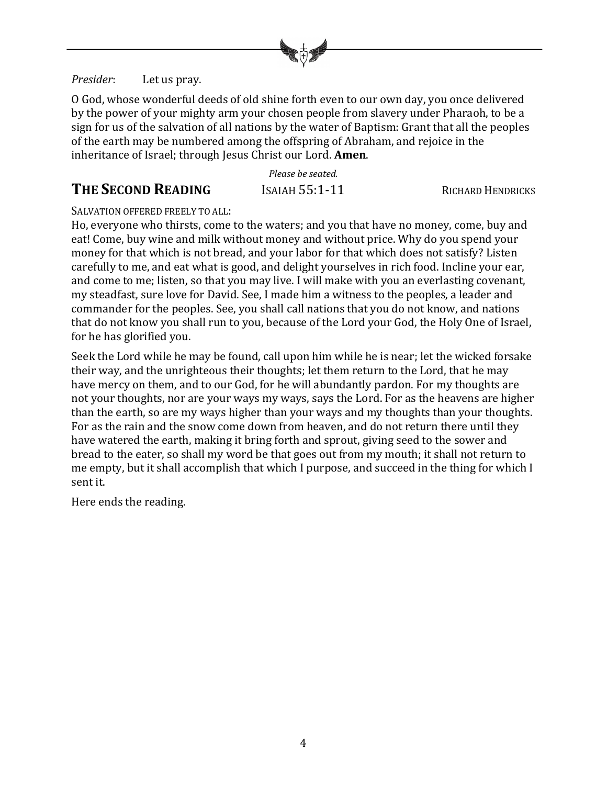

#### *Presider*: Let us pray.

O God, whose wonderful deeds of old shine forth even to our own day, you once delivered by the power of your mighty arm your chosen people from slavery under Pharaoh, to be a sign for us of the salvation of all nations by the water of Baptism: Grant that all the peoples of the earth may be numbered among the offspring of Abraham, and rejoice in the inheritance of Israel; through Jesus Christ our Lord. **Amen**.

|                    | Please be seated. |                          |
|--------------------|-------------------|--------------------------|
| THE SECOND READING | ISAIAH 55:1-11    | <b>RICHARD HENDRICKS</b> |

#### SALVATION OFFERED FREELY TO ALL:

Ho, everyone who thirsts, come to the waters; and you that have no money, come, buy and eat! Come, buy wine and milk without money and without price. Why do you spend your money for that which is not bread, and your labor for that which does not satisfy? Listen carefully to me, and eat what is good, and delight yourselves in rich food. Incline your ear, and come to me; listen, so that you may live. I will make with you an everlasting covenant, my steadfast, sure love for David. See, I made him a witness to the peoples, a leader and commander for the peoples. See, you shall call nations that you do not know, and nations that do not know you shall run to you, because of the Lord your God, the Holy One of Israel, for he has glorified you.

Seek the Lord while he may be found, call upon him while he is near; let the wicked forsake their way, and the unrighteous their thoughts; let them return to the Lord, that he may have mercy on them, and to our God, for he will abundantly pardon. For my thoughts are not your thoughts, nor are your ways my ways, says the Lord. For as the heavens are higher than the earth, so are my ways higher than your ways and my thoughts than your thoughts. For as the rain and the snow come down from heaven, and do not return there until they have watered the earth, making it bring forth and sprout, giving seed to the sower and bread to the eater, so shall my word be that goes out from my mouth; it shall not return to me empty, but it shall accomplish that which I purpose, and succeed in the thing for which I sent it.

Here ends the reading.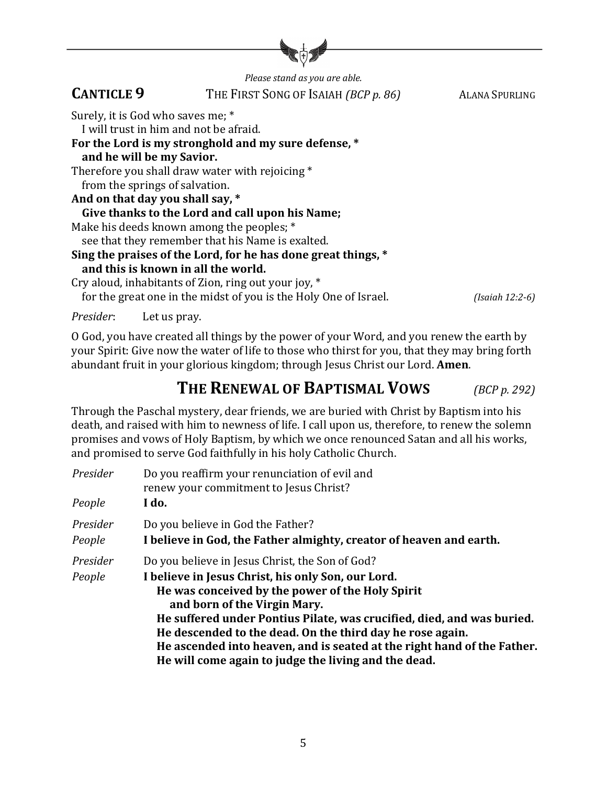

*Please stand as you are able.*

**CANTICLE 9** THE FIRST SONG OF ISAIAH *(BCP p. 86)* ALANA SPURLING

Surely, it is God who saves me: \*

I will trust in him and not be afraid. For the Lord is my stronghold and my sure defense, \* and he will be my Savior. Therefore you shall draw water with rejoicing  $*$ from the springs of salvation. And on that day you shall say, \* Give thanks to the Lord and call upon his Name; Make his deeds known among the peoples;  $*$ see that they remember that his Name is exalted. Sing the praises of the Lord, for he has done great things, \* and this is known in all the world. Cry aloud, inhabitants of Zion, ring out your joy,  $*$ for the great one in the midst of you is the Holy One of Israel. *(Isaiah 12:2-6)* 

*Presider*: Let us pray.

O God, you have created all things by the power of your Word, and you renew the earth by your Spirit: Give now the water of life to those who thirst for you, that they may bring forth abundant fruit in your glorious kingdom; through Jesus Christ our Lord. **Amen**.

# **THE RENEWAL OF BAPTISMAL VOWS** *(BCP p. 292)*

Through the Paschal mystery, dear friends, we are buried with Christ by Baptism into his death, and raised with him to newness of life. I call upon us, therefore, to renew the solemn promises and vows of Holy Baptism, by which we once renounced Satan and all his works, and promised to serve God faithfully in his holy Catholic Church.

| Presider           | Do you reaffirm your renunciation of evil and<br>renew your commitment to Jesus Christ?                                                                                                                                                                                                                                                                                                                          |
|--------------------|------------------------------------------------------------------------------------------------------------------------------------------------------------------------------------------------------------------------------------------------------------------------------------------------------------------------------------------------------------------------------------------------------------------|
| People             | I do.                                                                                                                                                                                                                                                                                                                                                                                                            |
| Presider<br>People | Do you believe in God the Father?<br>I believe in God, the Father almighty, creator of heaven and earth.                                                                                                                                                                                                                                                                                                         |
| Presider           | Do you believe in Jesus Christ, the Son of God?                                                                                                                                                                                                                                                                                                                                                                  |
| People             | I believe in Jesus Christ, his only Son, our Lord.<br>He was conceived by the power of the Holy Spirit<br>and born of the Virgin Mary.<br>He suffered under Pontius Pilate, was crucified, died, and was buried.<br>He descended to the dead. On the third day he rose again.<br>He ascended into heaven, and is seated at the right hand of the Father.<br>He will come again to judge the living and the dead. |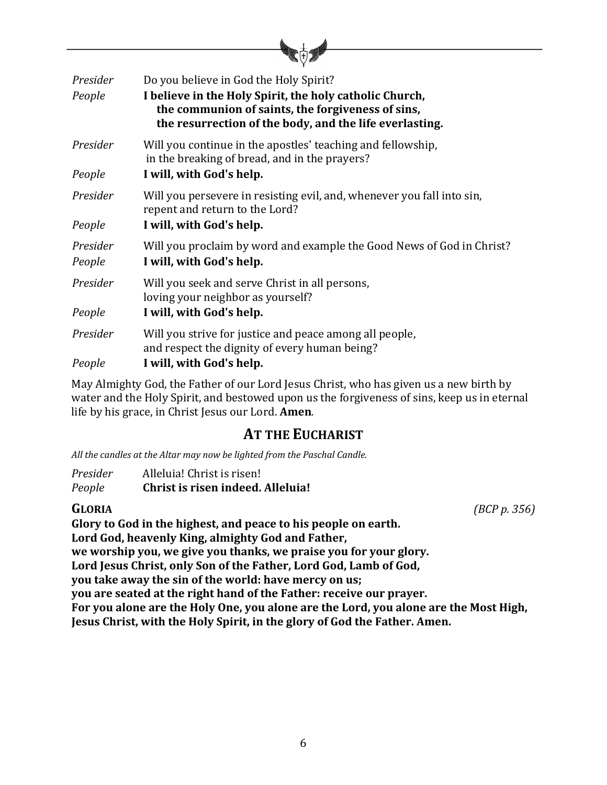

| Presider<br>People | Do you believe in God the Holy Spirit?<br>I believe in the Holy Spirit, the holy catholic Church,<br>the communion of saints, the forgiveness of sins,<br>the resurrection of the body, and the life everlasting. |
|--------------------|-------------------------------------------------------------------------------------------------------------------------------------------------------------------------------------------------------------------|
| Presider           | Will you continue in the apostles' teaching and fellowship,<br>in the breaking of bread, and in the prayers?                                                                                                      |
| People             | I will, with God's help.                                                                                                                                                                                          |
| Presider           | Will you persevere in resisting evil, and, whenever you fall into sin,<br>repent and return to the Lord?                                                                                                          |
| People             | I will, with God's help.                                                                                                                                                                                          |
| Presider<br>People | Will you proclaim by word and example the Good News of God in Christ?<br>I will, with God's help.                                                                                                                 |
| Presider           | Will you seek and serve Christ in all persons,<br>loving your neighbor as yourself?                                                                                                                               |
| People             | I will, with God's help.                                                                                                                                                                                          |
| Presider           | Will you strive for justice and peace among all people,<br>and respect the dignity of every human being?                                                                                                          |
| People             | I will, with God's help.                                                                                                                                                                                          |

May Almighty God, the Father of our Lord Jesus Christ, who has given us a new birth by water and the Holy Spirit, and bestowed upon us the forgiveness of sins, keep us in eternal life by his grace, in Christ Jesus our Lord. **Amen**.

## **AT THE EUCHARIST**

All the candles at the Altar may now be lighted from the Paschal Candle.

| Presider | Alleluia! Christ is risen!        |
|----------|-----------------------------------|
| People   | Christ is risen indeed. Alleluia! |

**GLORIA** *(BCP p. 356)* Glory to God in the highest, and peace to his people on earth.

Lord God, heavenly King, almighty God and Father,

we worship you, we give you thanks, we praise you for your glory.

Lord Jesus Christ, only Son of the Father, Lord God, Lamb of God,

**you take away the sin of the world: have mercy on us;** 

**you are seated at the right hand of the Father: receive our prayer.**

For you alone are the Holy One, you alone are the Lord, you alone are the Most High, **Jesus Christ, with the Holy Spirit, in the glory of God the Father. Amen.**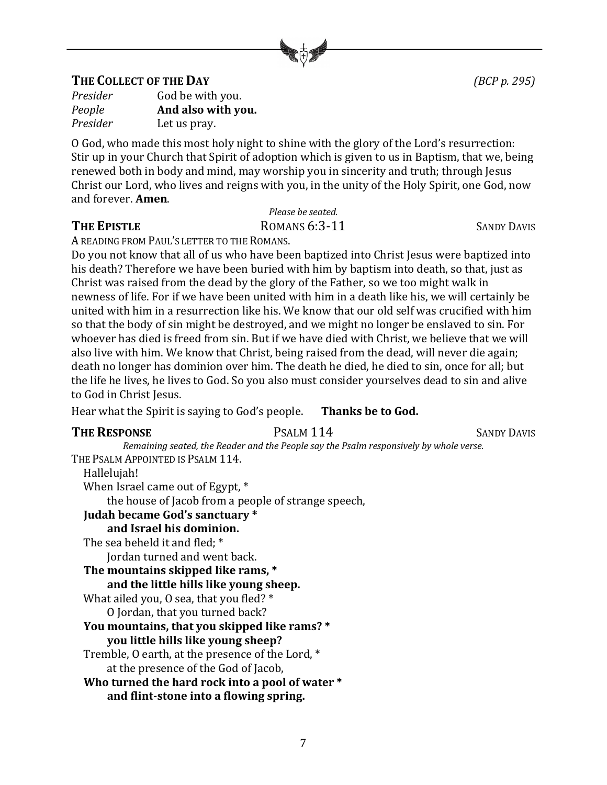### **THE COLLECT OF THE DAY** *(BCP p. 295)*

| Presider | God be with you.   |
|----------|--------------------|
| People   | And also with you. |
| Presider | Let us pray.       |

O God, who made this most holy night to shine with the glory of the Lord's resurrection: Stir up in your Church that Spirit of adoption which is given to us in Baptism, that we, being renewed both in body and mind, may worship you in sincerity and truth; through Jesus Christ our Lord, who lives and reigns with you, in the unity of the Holy Spirit, one God, now and forever. **Amen**. *Please be seated.*

#### **THE EPISTLE** SANDY ROMANS 6:3-11 SANDY DAVIS

A READING FROM PAUL'S LETTER TO THE ROMANS.

Do you not know that all of us who have been baptized into Christ Jesus were baptized into his death? Therefore we have been buried with him by baptism into death, so that, just as Christ was raised from the dead by the glory of the Father, so we too might walk in newness of life. For if we have been united with him in a death like his, we will certainly be united with him in a resurrection like his. We know that our old self was crucified with him so that the body of sin might be destroyed, and we might no longer be enslaved to sin. For whoever has died is freed from sin. But if we have died with Christ, we believe that we will also live with him. We know that Christ, being raised from the dead, will never die again; death no longer has dominion over him. The death he died, he died to sin, once for all; but the life he lives, he lives to God. So you also must consider yourselves dead to sin and alive to God in Christ Jesus.

Hear what the Spirit is saying to God's people. **Thanks be to God.** 

#### **THE RESPONSE** PSALM 114 SANDY DAVIS

*Remaining seated, the Reader and the People say the Psalm responsively by whole verse.* THE PSALM APPOINTED IS PSALM 114.

Hallelujah!

When Israel came out of Egypt,  $*$ 

the house of Jacob from a people of strange speech,

## **Judah became God's sanctuary** \*

**and Israel his dominion.**

The sea beheld it and fled:  $*$ 

Jordan turned and went back. The mountains skipped like rams, \*

and the little hills like young sheep.

What ailed you, O sea, that you fled?  $*$ O Jordan, that you turned back?

# You mountains, that you skipped like rams? \*

#### **you little hills like young sheep?** Tremble, O earth, at the presence of the Lord, \*

at the presence of the God of Jacob,

**Who turned the hard rock into a pool of water \*** and flint-stone into a flowing spring.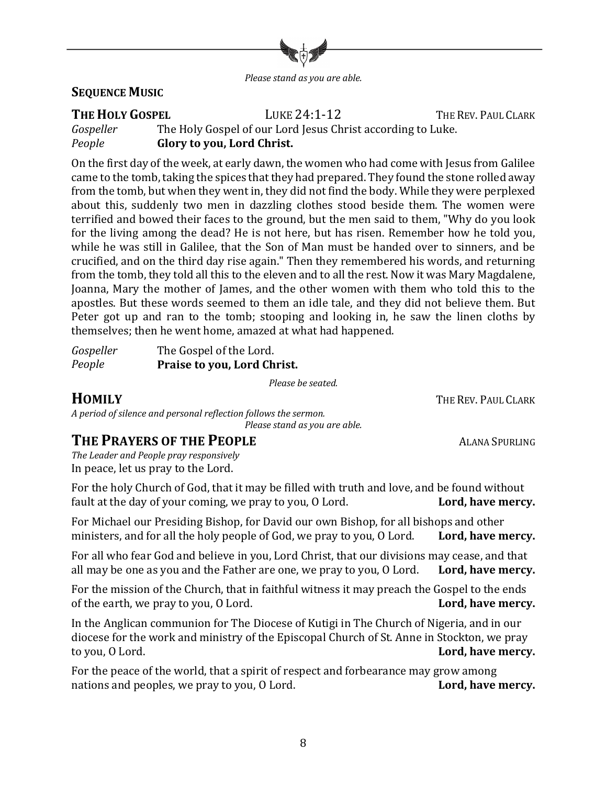

*Please stand as you are able.*

#### **SEQUENCE MUSIC**

**THE HOLY GOSPEL** LUKE 24:1-12 THE REV. PAUL CLARK Gospeller The Holy Gospel of our Lord Jesus Christ according to Luke. *People* **Glory to you, Lord Christ.** 

On the first day of the week, at early dawn, the women who had come with Jesus from Galilee came to the tomb, taking the spices that they had prepared. They found the stone rolled away from the tomb, but when they went in, they did not find the body. While they were perplexed about this, suddenly two men in dazzling clothes stood beside them. The women were terrified and bowed their faces to the ground, but the men said to them, "Why do you look for the living among the dead? He is not here, but has risen. Remember how he told you, while he was still in Galilee, that the Son of Man must be handed over to sinners, and be crucified, and on the third day rise again." Then they remembered his words, and returning from the tomb, they told all this to the eleven and to all the rest. Now it was Mary Magdalene, Joanna, Mary the mother of James, and the other women with them who told this to the apostles. But these words seemed to them an idle tale, and they did not believe them. But Peter got up and ran to the tomb; stooping and looking in, he saw the linen cloths by themselves; then he went home, amazed at what had happened.

| Gospeller | The Gospel of the Lord.     |
|-----------|-----------------------------|
| People    | Praise to you, Lord Christ. |

*Please be seated.*

**HOMILY** THE REV. PAUL CLARK

*A period of silence and personal reflection follows the sermon. Please stand as you are able.*

### **THE PRAYERS OF THE PEOPLE ALANA SPURLING**

The Leader and People pray responsively In peace, let us pray to the Lord.

For the holy Church of God, that it may be filled with truth and love, and be found without fault at the day of your coming, we pray to you, O Lord. **Lord, have mercy.** 

For Michael our Presiding Bishop, for David our own Bishop, for all bishops and other ministers, and for all the holy people of God, we pray to you, O Lord. **Lord, have mercy.** 

For all who fear God and believe in you, Lord Christ, that our divisions may cease, and that all may be one as you and the Father are one, we pray to you, O Lord. **Lord, have mercy.** 

For the mission of the Church, that in faithful witness it may preach the Gospel to the ends of the earth, we pray to you, O Lord. **Lord, have mercy. Lord, have mercy.** 

In the Anglican communion for The Diocese of Kutigi in The Church of Nigeria, and in our diocese for the work and ministry of the Episcopal Church of St. Anne in Stockton, we pray to you, 0 Lord. **Lord, have mercy.** 

For the peace of the world, that a spirit of respect and forbearance may grow among nations and peoples, we pray to you, O Lord. **Lord, have mercy. Lord, have mercy.**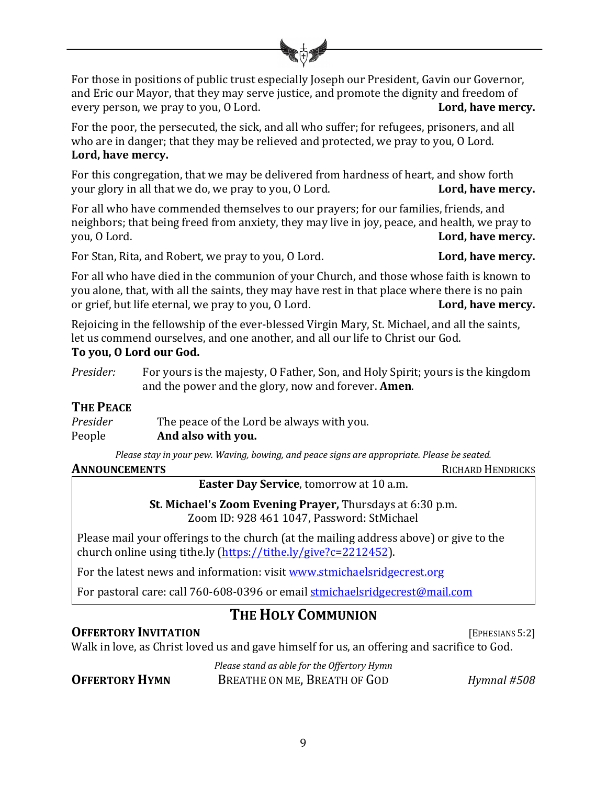

For those in positions of public trust especially Joseph our President, Gavin our Governor, and Eric our Mayor, that they may serve justice, and promote the dignity and freedom of every person, we pray to you, O Lord. **Lord, have mercy. Lord, have mercy.** 

For the poor, the persecuted, the sick, and all who suffer; for refugees, prisoners, and all who are in danger; that they may be relieved and protected, we pray to you, O Lord. Lord, have mercy.

For this congregation, that we may be delivered from hardness of heart, and show forth your glory in all that we do, we pray to you, O Lord. **Lord, have mercy.** 

For all who have commended themselves to our prayers; for our families, friends, and neighbors; that being freed from anxiety, they may live in joy, peace, and health, we pray to you, O Lord. **Lord, have mercy.** 

For Stan, Rita, and Robert, we pray to you, O Lord. **Lord. Lord, have mercy.** 

For all who have died in the communion of your Church, and those whose faith is known to you alone, that, with all the saints, they may have rest in that place where there is no pain or grief, but life eternal, we pray to you, O Lord. **Lord, have mercy.** 

Rejoicing in the fellowship of the ever-blessed Virgin Mary, St. Michael, and all the saints, let us commend ourselves, and one another, and all our life to Christ our God.

#### To you, O Lord our God.

*Presider:* For yours is the majesty, O Father, Son, and Holy Spirit; yours is the kingdom and the power and the glory, now and forever. **Amen**.

### **THE PEACE**

| Presider | The peace of the Lord be always with you. |
|----------|-------------------------------------------|
| People   | And also with you.                        |

*Please stay in your pew. Waving, bowing, and peace signs are appropriate. Please be seated.* 

#### **ANNOUNCEMENTS** RICHARD HENDRICKS

**Easter Day Service**, tomorrow at 10 a.m.

**St. Michael's Zoom Evening Prayer, Thursdays at 6:30 p.m.** Zoom ID: 928 461 1047, Password: StMichael

Please mail your offerings to the church (at the mailing address above) or give to the church online using tithe.ly (https://tithe.ly/give?c=2212452).

For the latest news and information: visit www.stmichaelsridgecrest.org

For pastoral care: call 760-608-0396 or email stmichaelsridgecrest@mail.com

# **THE HOLY COMMUNION**

### **OFFERTORY INVITATION** [EPHESIANS 5:2]

Walk in love, as Christ loved us and gave himself for us, an offering and sacrifice to God.

*Please stand as able for the Offertory Hymn*

**OFFERTORY HYMN** BREATHE ON ME, BREATH OF GOD *Hymnal #508*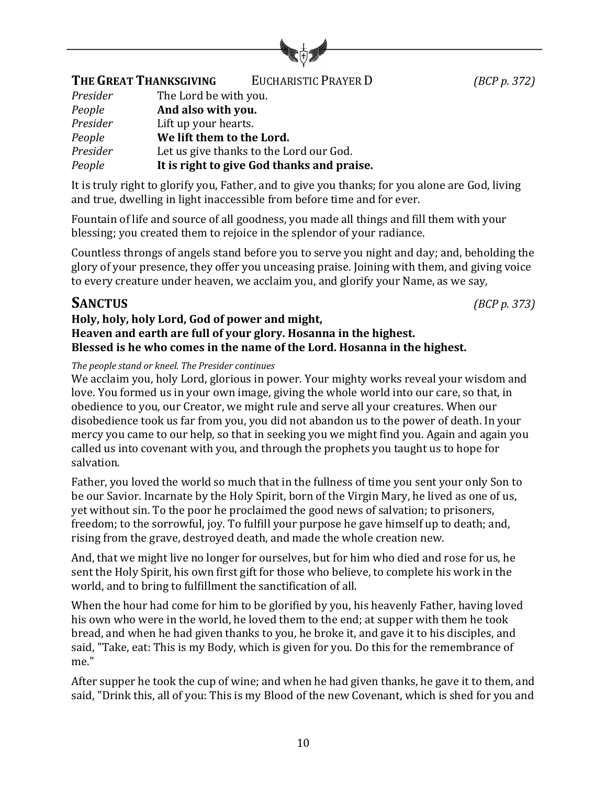



|          | THE GREAT THANKSGIVING    | EUCHARISTIC PRAYER D                       |
|----------|---------------------------|--------------------------------------------|
| Presider | The Lord be with you.     |                                            |
| People   | And also with you.        |                                            |
| Presider | Lift up your hearts.      |                                            |
| People   | We lift them to the Lord. |                                            |
| Presider |                           | Let us give thanks to the Lord our God.    |
| People   |                           | It is right to give God thanks and praise. |

It is truly right to glorify you, Father, and to give you thanks; for you alone are God, living and true, dwelling in light inaccessible from before time and for ever.

Fountain of life and source of all goodness, you made all things and fill them with your blessing; you created them to rejoice in the splendor of your radiance.

Countless throngs of angels stand before you to serve you night and day; and, beholding the glory of your presence, they offer you unceasing praise. Joining with them, and giving voice to every creature under heaven, we acclaim you, and glorify your Name, as we say,

# **SANCTUS** *(BCP p. 373)*

#### Holy, holy, holy Lord, God of power and might, Heaven and earth are full of your glory. Hosanna in the highest. Blessed is he who comes in the name of the Lord. Hosanna in the highest.

#### *The people stand or kneel. The Presider continues*

We acclaim you, holy Lord, glorious in power. Your mighty works reveal your wisdom and love. You formed us in your own image, giving the whole world into our care, so that, in obedience to you, our Creator, we might rule and serve all your creatures. When our disobedience took us far from you, you did not abandon us to the power of death. In your mercy you came to our help, so that in seeking you we might find you. Again and again you called us into covenant with you, and through the prophets you taught us to hope for salvation.

Father, you loved the world so much that in the fullness of time you sent your only Son to be our Savior. Incarnate by the Holy Spirit, born of the Virgin Mary, he lived as one of us, yet without sin. To the poor he proclaimed the good news of salvation; to prisoners, freedom; to the sorrowful, joy. To fulfill your purpose he gave himself up to death; and, rising from the grave, destroyed death, and made the whole creation new.

And, that we might live no longer for ourselves, but for him who died and rose for us, he sent the Holy Spirit, his own first gift for those who believe, to complete his work in the world, and to bring to fulfillment the sanctification of all.

When the hour had come for him to be glorified by you, his heavenly Father, having loved his own who were in the world, he loved them to the end; at supper with them he took bread, and when he had given thanks to you, he broke it, and gave it to his disciples, and said, "Take, eat: This is my Body, which is given for you. Do this for the remembrance of me."

After supper he took the cup of wine; and when he had given thanks, he gave it to them, and said, "Drink this, all of you: This is my Blood of the new Covenant, which is shed for you and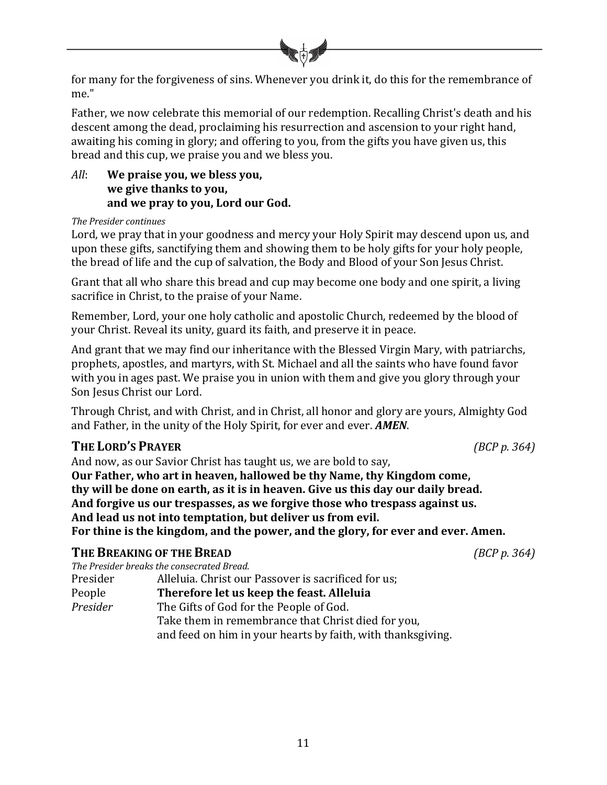

for many for the forgiveness of sins. Whenever you drink it, do this for the remembrance of me."

Father, we now celebrate this memorial of our redemption. Recalling Christ's death and his descent among the dead, proclaiming his resurrection and ascension to your right hand, awaiting his coming in glory; and offering to you, from the gifts you have given us, this bread and this cup, we praise you and we bless you.

#### *All*: **We praise you, we bless you, we give thanks to you,** and we pray to you, Lord our God.

#### *The Presider continues*

Lord, we pray that in your goodness and mercy your Holy Spirit may descend upon us, and upon these gifts, sanctifying them and showing them to be holy gifts for your holy people, the bread of life and the cup of salvation, the Body and Blood of your Son Jesus Christ.

Grant that all who share this bread and cup may become one body and one spirit, a living sacrifice in Christ, to the praise of your Name.

Remember, Lord, your one holy catholic and apostolic Church, redeemed by the blood of your Christ. Reveal its unity, guard its faith, and preserve it in peace.

And grant that we may find our inheritance with the Blessed Virgin Mary, with patriarchs, prophets, apostles, and martyrs, with St. Michael and all the saints who have found favor with you in ages past. We praise you in union with them and give you glory through your Son Jesus Christ our Lord.

Through Christ, and with Christ, and in Christ, all honor and glory are yours, Almighty God and Father, in the unity of the Holy Spirit, for ever and ever. **AMEN**.

### **THE LORD'S PRAYER** *(BCP p. 364)*

And now, as our Savior Christ has taught us, we are bold to say, Our Father, who art in heaven, hallowed be thy Name, thy Kingdom come, thy will be done on earth, as it is in heaven. Give us this day our daily bread. And forgive us our trespasses, as we forgive those who trespass against us. And lead us not into temptation, but deliver us from evil. For thine is the kingdom, and the power, and the glory, for ever and ever. Amen.

### **THE BREAKING OF THE BREAD** *(BCP p. 364)*

*The Presider breaks the consecrated Bread.* 

| Presider | Alleluia. Christ our Passover is sacrificed for us;         |
|----------|-------------------------------------------------------------|
| People   | Therefore let us keep the feast. Alleluia                   |
| Presider | The Gifts of God for the People of God.                     |
|          | Take them in remembrance that Christ died for you,          |
|          | and feed on him in your hearts by faith, with thanksgiving. |